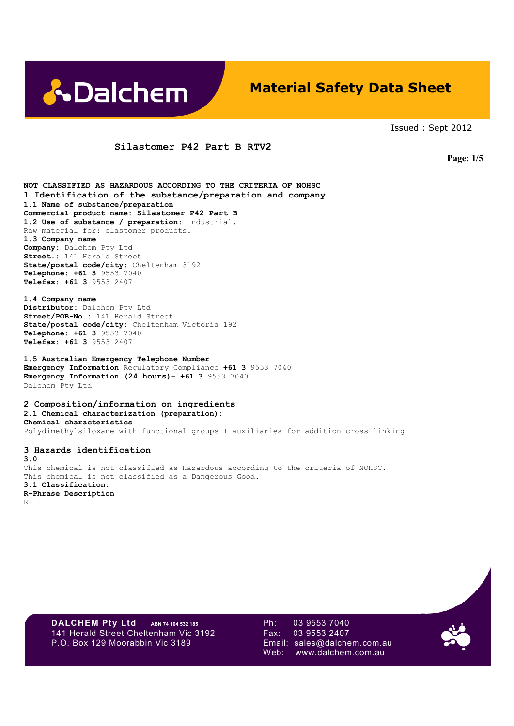

# **Material Safety Data Sheet**

Issued : Sept 2012

### **Silastomer P42 Part B RTV2**

 **Page: 1/5**

**NOT CLASSIFIED AS HAZARDOUS ACCORDING TO THE CRITERIA OF NOHSC 1 Identification of the substance/preparation and company 1.1 Name of substance/preparation Commercial product name: Silastomer P42 Part B 1.2 Use of substance / preparation:** Industrial. Raw material for: elastomer products. **1.3 Company name Company:** Dalchem Pty Ltd **Street.:** 141 Herald Street **State/postal code/city:** Cheltenham 3192 **Telephone: +61 3** 9553 7040 **Telefax: +61 3** 9553 2407

**1.4 Company name Distributor:** Dalchem Pty Ltd **Street/POB-No.:** 141 Herald Street **State/postal code/city:** Cheltenham Victoria 192 **Telephone: +61 3** 9553 7040 **Telefax: +61 3** 9553 2407

**1.5 Australian Emergency Telephone Number Emergency Information** Regulatory Compliance **+61 3** 9553 7040 **Emergency Information (24 hours)**– **+61 3** 9553 7040 Dalchem Pty Ltd

**2 Composition/information on ingredients 2.1 Chemical characterization (preparation): Chemical characteristics**  Polydimethylsiloxane with functional groups + auxiliaries for addition cross-linking

**3 Hazards identification 3.0**  This chemical is not classified as Hazardous according to the criteria of NOHSC. This chemical is not classified as a Dangerous Good. **3.1 Classification: R-Phrase Description**   $R-$  -

**DALCHEM Pty Ltd** ABN 74 104 532 185 Ph: 03 9553 7040<br>141 Herald Street Cheltenham Vic 3192 Fax: 03 9553 2407 141 Herald Street Cheltenham Vic 3192 Fax: P.O. Box 129 Moorabbin Vic 3189 Email: sales@dalchem.com.au

Web: www.dalchem.com.au

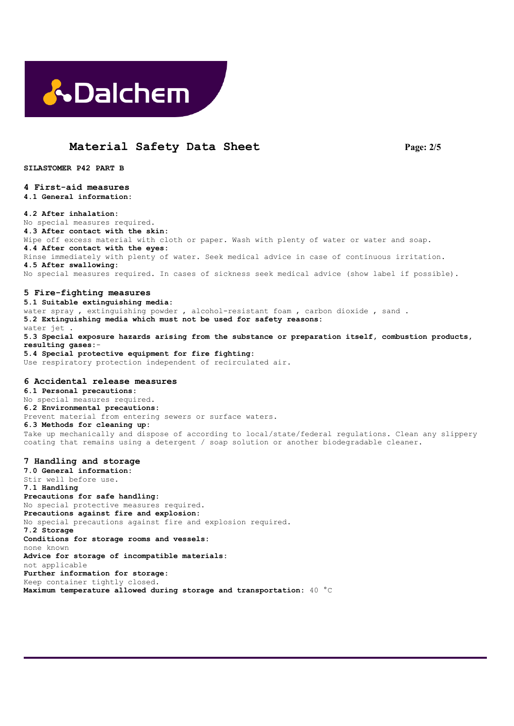

# **Material Safety Data Sheet Page: 2/5**

**SILASTOMER P42 PART B** 

# **4 First-aid measures**

**4.1 General information:** 

#### **4.2 After inhalation:**

No special measures required. **4.3 After contact with the skin:**  Wipe off excess material with cloth or paper. Wash with plenty of water or water and soap. **4.4 After contact with the eyes:**  Rinse immediately with plenty of water. Seek medical advice in case of continuous irritation. **4.5 After swallowing:**  No special measures required. In cases of sickness seek medical advice (show label if possible).

#### **5 Fire-fighting measures**

**5.1 Suitable extinguishing media:**  water spray , extinguishing powder , alcohol-resistant foam , carbon dioxide , sand . **5.2 Extinguishing media which must not be used for safety reasons:**  water jet **5.3 Special exposure hazards arising from the substance or preparation itself, combustion products, resulting gases:**- **5.4 Special protective equipment for fire fighting:** Use respiratory protection independent of recirculated air.

#### **6 Accidental release measures**

**6.1 Personal precautions:**  No special measures required. **6.2 Environmental precautions:**  Prevent material from entering sewers or surface waters. **6.3 Methods for cleaning up:**  Take up mechanically and dispose of according to local/state/federal regulations. Clean any slippery coating that remains using a detergent / soap solution or another biodegradable cleaner.

#### **7 Handling and storage**

**7.0 General information:**  Stir well before use. **7.1 Handling Precautions for safe handling:**  No special protective measures required. **Precautions against fire and explosion:**  No special precautions against fire and explosion required. **7.2 Storage Conditions for storage rooms and vessels:**  none known **Advice for storage of incompatible materials:**  not applicable **Further information for storage:**  Keep container tightly closed. **Maximum temperature allowed during storage and transportation:** 40 °C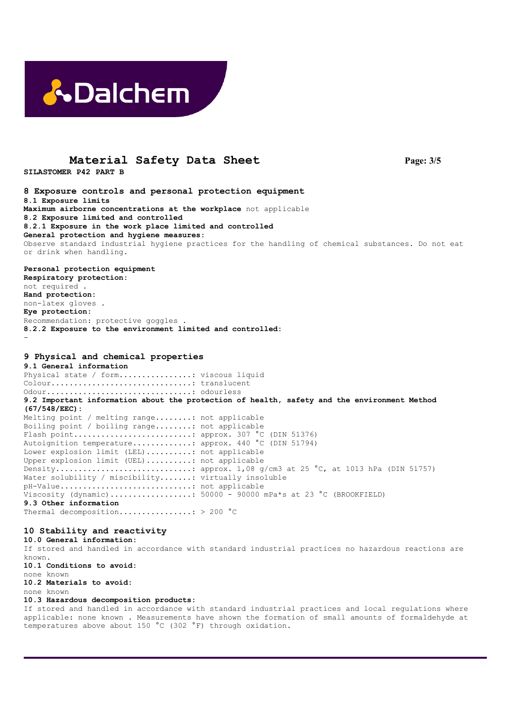

### **Material Safety Data Sheet Page: 3/5**

**SILASTOMER P42 PART B** 

**8 Exposure controls and personal protection equipment 8.1 Exposure limits Maximum airborne concentrations at the workplace** not applicable **8.2 Exposure limited and controlled 8.2.1 Exposure in the work place limited and controlled General protection and hygiene measures:**  Observe standard industrial hygiene practices for the handling of chemical substances. Do not eat or drink when handling.

**Personal protection equipment Respiratory protection:**  not required . **Hand protection:**  non-latex gloves . **Eye protection:**  Recommendation: protective goggles . **8.2.2 Exposure to the environment limited and controlled:**  -

### **9 Physical and chemical properties**

**9.1 General information**  Physical state / form..................: viscous liquid Colour...............................: translucent Odour................................: odourless **9.2 Important information about the protection of health, safety and the environment Method (67/548/EEC):**  Melting point / melting range........: not applicable Boiling point / boiling range........: not applicable Flash point..........................: approx. 307 °C (DIN 51376) Autoignition temperature.............: approx. 440 °C (DIN 51794) Lower explosion limit (LEL)..........: not applicable Upper explosion limit (UEL)..........: not applicable Density..............................: approx. 1,08 g/cm3 at 25 °C, at 1013 hPa (DIN 51757) Water solubility / miscibility.......: virtually insoluble pH-Value.............................: not applicable Viscosity (dynamic).................:  $50000 - 90000$  mPa\*s at 23 °C (BROOKFIELD) **9.3 Other information** 

Thermal decomposition................: > 200 °C

### **10 Stability and reactivity**

**10.0 General information:**  If stored and handled in accordance with standard industrial practices no hazardous reactions are known. **10.1 Conditions to avoid:**  none known **10.2 Materials to avoid:**  none known **10.3 Hazardous decomposition products:** 

If stored and handled in accordance with standard industrial practices and local regulations where applicable: none known . Measurements have shown the formation of small amounts of formaldehyde at temperatures above about 150 °C (302 °F) through oxidation.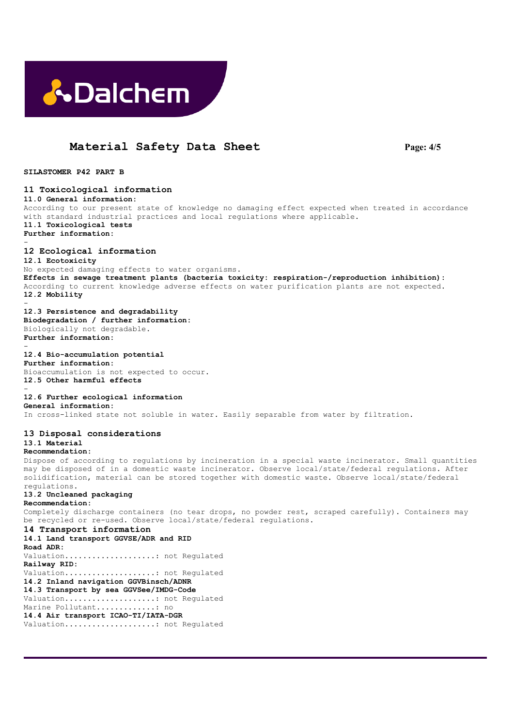

# **Material Safety Data Sheet Page: 4/5**

**SILASTOMER P42 PART B** 

**11 Toxicological information 11.0 General information:**  According to our present state of knowledge no damaging effect expected when treated in accordance with standard industrial practices and local regulations where applicable. **11.1 Toxicological tests Further information:**  - **12 Ecological information 12.1 Ecotoxicity**  No expected damaging effects to water organisms. **Effects in sewage treatment plants (bacteria toxicity: respiration-/reproduction inhibition):**  According to current knowledge adverse effects on water purification plants are not expected. **12.2 Mobility**  - **12.3 Persistence and degradability Biodegradation / further information:**  Biologically not degradable. **Further information:**  - **12.4 Bio-accumulation potential Further information:**  Bioaccumulation is not expected to occur. **12.5 Other harmful effects**  - **12.6 Further ecological information General information:**  In cross-linked state not soluble in water. Easily separable from water by filtration. **13 Disposal considerations 13.1 Material Recommendation:**  Dispose of according to regulations by incineration in a special waste incinerator. Small quantities may be disposed of in a domestic waste incinerator. Observe local/state/federal regulations. After solidification, material can be stored together with domestic waste. Observe local/state/federal regulations. **13.2 Uncleaned packaging Recommendation:**  Completely discharge containers (no tear drops, no powder rest, scraped carefully). Containers may be recycled or re-used. Observe local/state/federal regulations. **14 Transport information 14.1 Land transport GGVSE/ADR and RID Road ADR:**  Valuation....................: not Regulated **Railway RID:**  Valuation....................: not Regulated **14.2 Inland navigation GGVBinsch/ADNR 14.3 Transport by sea GGVSee/IMDG-Code**  Valuation....................: not Regulated Marine Pollutant.............. no **14.4 Air transport ICAO-TI/IATA-DGR**  Valuation....................: not Regulated